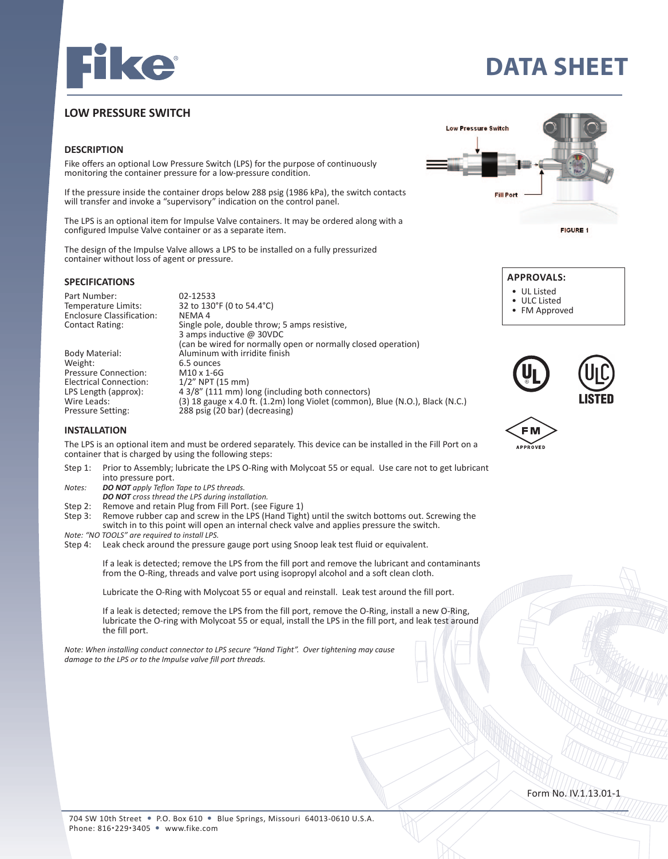

# **DATA SHEET**

## **LOW PRESSURE SWITCH**

#### **DESCRIPTION**

Fike offers an optional Low Pressure Switch (LPS) for the purpose of continuously monitoring the container pressure for a low-pressure condition.

If the pressure inside the container drops below 288 psig (1986 kPa), the switch contacts will transfer and invoke a "supervisory" indication on the control panel.

The LPS is an optional item for Impulse Valve containers. It may be ordered along with a configured Impulse Valve container or as a separate item.

The design of the Impulse Valve allows a LPS to be installed on a fully pressurized container without loss of agent or pressure.

#### **SPECIFICATIONS**

Part Number: 02-12533<br>Temperature Limits: 32 to 130 Enclosure Classification:<br>Contact Rating:

Electrical Connection:<br>LPS Length (approx):

32 to 130°F (0 to 54.4°C)<br>NEMA 4 Single pole, double throw; 5 amps resistive, 3 amps inductive @ 30VDC (can be wired for normally open or normally closed operation)<br>Aluminum with irridite finish Body Material: <br>Weight: **Aluminum with irridite finish**<br>6.5 ounces  $6.5$  ounces<br>M10 x 1-6G Pressure Connection: M10 x 1-6G<br>Electrical Connection: 1/2" NPT (15 mm) LPS Length (approx):  $4.3/8''$  (111 mm) long (including both connectors)<br>Wire Leads: (3) 18 gauge x 4.0 ft. (1.2m) long Violet (common) Wire Leads: (3) 18 gauge x 4.0 ft. (1.2m) long Violet (common), Blue (N.O.), Black (N.C.)<br>Pressure Setting: 288 psig (20 bar) (decreasing)  $288$  psig (20 bar) (decreasing)





- UL Listed
- ULC Listed

M

• FM Approved

| <b>TU</b> | (UIC)<br><b>LISTED</b> |
|-----------|------------------------|
|           |                        |

#### **INSTALLATION**

The LPS is an optional item and must be ordered separately. This device can be installed in the Fill Port on a container that is charged by using the following steps:

- Step 1: Prior to Assembly; lubricate the LPS O-Ring with Molycoat 55 or equal. Use care not to get lubricant into pressure port.<br>*Notes:* **DO NOT** apply Teflon
- *DO NOT apply Teflon Tape to LPS threads.*
- *DO NOT cross thread the LPS during installation.*
- Step 2: Remove and retain Plug from Fill Port. (see Figure 1)<br>Step 3: Remove rubber cap and screw in the LPS (Hand Tight
- Remove rubber cap and screw in the LPS (Hand Tight) until the switch bottoms out. Screwing the switch in to this point will open an internal check valve and applies pressure the switch.
- *Note: "NO TOOLS" are required to install LPS.*
- Step 4: Leak check around the pressure gauge port using Snoop leak test fluid or equivalent.

 If a leak is detected; remove the LPS from the fill port and remove the lubricant and contaminants from the O-Ring, threads and valve port using isopropyl alcohol and a soft clean cloth.

Lubricate the O-Ring with Molycoat 55 or equal and reinstall. Leak test around the fill port.

 If a leak is detected; remove the LPS from the fill port, remove the O-Ring, install a new O-Ring, lubricate the O-ring with Molycoat 55 or equal, install the LPS in the fill port, and leak test around the fill port.

*Note: When installing conduct connector to LPS secure "Hand Tight". Over tightening may cause damage to the LPS or to the Impulse valve fill port threads.*